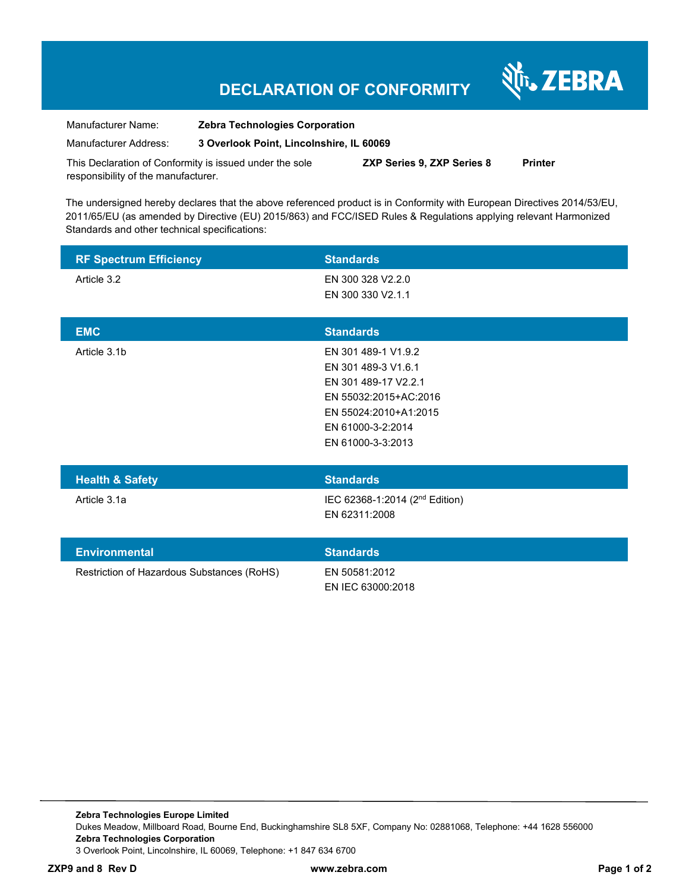# **DECLARATION OF CONFORMITY**

श्री<sub>1</sub>, ZEBRA

| Manufacturer Name:                                      | <b>Zebra Technologies Corporation</b>    |                                  |         |
|---------------------------------------------------------|------------------------------------------|----------------------------------|---------|
| Manufacturer Address:                                   | 3 Overlook Point, Lincolnshire, IL 60069 |                                  |         |
| This Declaration of Conformity is issued under the sole |                                          | <b>7XP Series 9 7XP Series 8</b> | Printor |

This Declaration of Conformity is issued under the sole responsibility of the manufacturer. **ZXP Series 9, ZXP Series 8 Printer** 

The undersigned hereby declares that the above referenced product is in Conformity with European Directives 2014/53/EU, 2011/65/EU (as amended by Directive (EU) 2015/863) and FCC/ISED Rules & Regulations applying relevant Harmonized Standards and other technical specifications:

| <b>RF Spectrum Efficiency</b>              | <b>Standards</b>                                                                                                                                               |
|--------------------------------------------|----------------------------------------------------------------------------------------------------------------------------------------------------------------|
| Article 3.2                                | EN 300 328 V2.2.0<br>EN 300 330 V2.1.1                                                                                                                         |
| <b>EMC</b>                                 | <b>Standards</b>                                                                                                                                               |
| Article 3.1b                               | EN 301 489-1 V1.9.2<br>EN 301 489-3 V1.6.1<br>EN 301 489-17 V2.2.1<br>EN 55032:2015+AC:2016<br>EN 55024:2010+A1:2015<br>EN 61000-3-2:2014<br>EN 61000-3-3:2013 |
| <b>Health &amp; Safety</b>                 | <b>Standards</b>                                                                                                                                               |
| Article 3.1a                               | IEC 62368-1:2014 (2 <sup>nd</sup> Edition)<br>EN 62311:2008                                                                                                    |
| <b>Environmental</b>                       | <b>Standards</b>                                                                                                                                               |
| Restriction of Hazardous Substances (RoHS) | EN 50581:2012<br>EN IEC 63000:2018                                                                                                                             |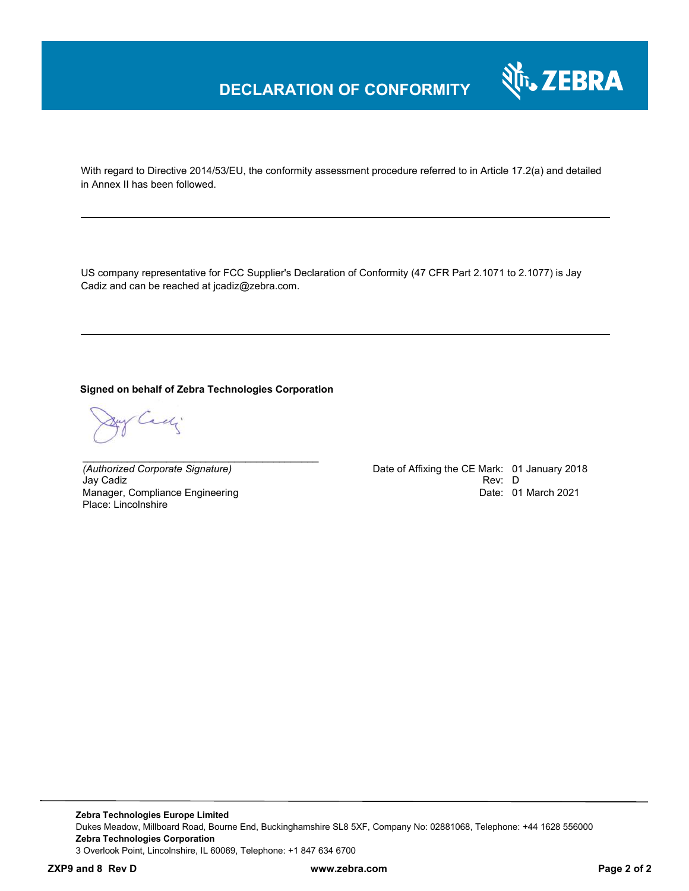

With regard to Directive 2014/53/EU, the conformity assessment procedure referred to in Article 17.2(a) and detailed in Annex II has been followed.

US company representative for FCC Supplier's Declaration of Conformity (47 CFR Part 2.1071 to 2.1077) is Jay Cadiz and can be reached at jcadiz@zebra.com.

#### **Signed on behalf of Zebra Technologies Corporation**

*\_\_\_\_\_\_\_\_\_\_\_\_\_\_\_\_\_\_\_\_\_\_\_\_\_\_\_\_\_\_\_\_\_\_\_\_\_\_\_\_\_\_*

Cady

Jay Cadiz Rev: D Manager, Compliance Engineering Place: Lincolnshire

*(Authorized Corporate Signature)* Date of Affixing the CE Mark: 01 January 2018 Date: 01 March 2021

**Zebra Technologies Europe Limited**  Dukes Meadow, Millboard Road, Bourne End, Buckinghamshire SL8 5XF, Company No: 02881068, Telephone: +44 1628 556000 **Zebra Technologies Corporation**  3 Overlook Point, Lincolnshire, IL 60069, Telephone: +1 847 634 6700